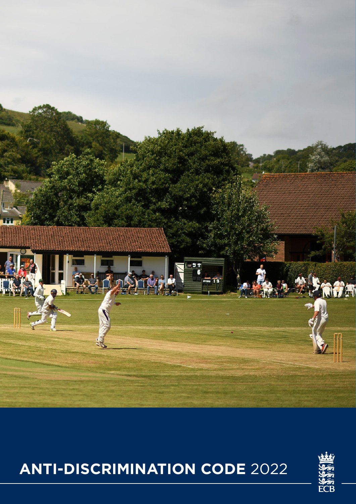

# **ANTI-DISCRIMINATION CODE** 2022

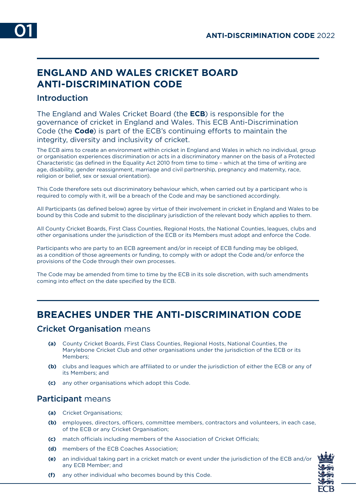# **ENGLAND AND WALES CRICKET BOARD ANTI-DISCRIMINATION CODE**

## Introduction

The England and Wales Cricket Board (the **ECB**) is responsible for the governance of cricket in England and Wales. This ECB Anti-Discrimination Code (the **Code**) is part of the ECB's continuing efforts to maintain the integrity, diversity and inclusivity of cricket.

The ECB aims to create an environment within cricket in England and Wales in which no individual, group or organisation experiences discrimination or acts in a discriminatory manner on the basis of a Protected Characteristic (as defined in the Equality Act 2010 from time to time – which at the time of writing are age, disability, gender reassignment, marriage and civil partnership, pregnancy and maternity, race, religion or belief, sex or sexual orientation).

This Code therefore sets out discriminatory behaviour which, when carried out by a participant who is required to comply with it, will be a breach of the Code and may be sanctioned accordingly.

All Participants (as defined below) agree by virtue of their involvement in cricket in England and Wales to be bound by this Code and submit to the disciplinary jurisdiction of the relevant body which applies to them.

All County Cricket Boards, First Class Counties, Regional Hosts, the National Counties, leagues, clubs and other organisations under the jurisdiction of the ECB or its Members must adopt and enforce the Code.

Participants who are party to an ECB agreement and/or in receipt of ECB funding may be obliged, as a condition of those agreements or funding, to comply with or adopt the Code and/or enforce the provisions of the Code through their own processes.

The Code may be amended from time to time by the ECB in its sole discretion, with such amendments coming into effect on the date specified by the ECB.

## **BREACHES UNDER THE ANTI-DISCRIMINATION CODE**

#### Cricket Organisation means

- **(a)** County Cricket Boards, First Class Counties, Regional Hosts, National Counties, the Marylebone Cricket Club and other organisations under the jurisdiction of the ECB or its Members;
- **(b)** clubs and leagues which are affiliated to or under the jurisdiction of either the ECB or any of its Members; and
- **(c)** any other organisations which adopt this Code.

### Participant means

- **(a)** Cricket Organisations;
- **(b)** employees, directors, officers, committee members, contractors and volunteers, in each case, of the ECB or any Cricket Organisation;
- **(c)** match officials including members of the Association of Cricket Officials;
- **(d)** members of the ECB Coaches Association;
- **(e)** an individual taking part in a cricket match or event under the jurisdiction of the ECB and/or any ECB Member; and



**(f)** any other individual who becomes bound by this Code.